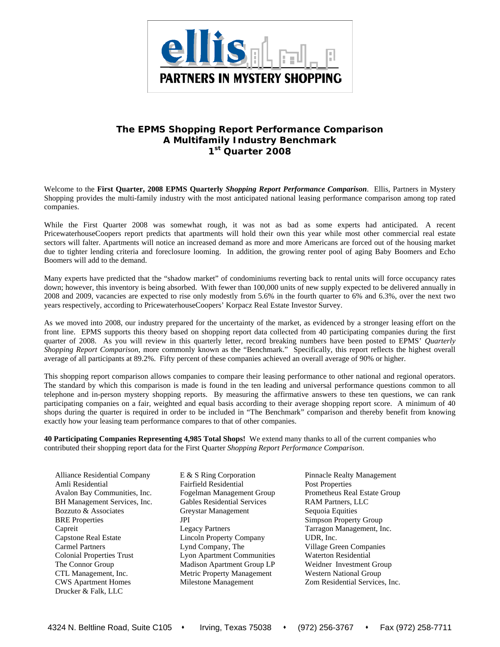

## **The EPMS** *Shopping Report Performance Comparison*  **A Multifamily Industry Benchmark 1st Quarter 2008**

Welcome to the **First Quarter, 2008 EPMS Quarterly** *Shopping Report Performance Comparison*. Ellis, Partners in Mystery Shopping provides the multi-family industry with the most anticipated national leasing performance comparison among top rated companies.

While the First Quarter 2008 was somewhat rough, it was not as bad as some experts had anticipated. A recent PricewaterhouseCoopers report predicts that apartments will hold their own this year while most other commercial real estate sectors will falter. Apartments will notice an increased demand as more and more Americans are forced out of the housing market due to tighter lending criteria and foreclosure looming. In addition, the growing renter pool of aging Baby Boomers and Echo Boomers will add to the demand.

Many experts have predicted that the "shadow market" of condominiums reverting back to rental units will force occupancy rates down; however, this inventory is being absorbed. With fewer than 100,000 units of new supply expected to be delivered annually in 2008 and 2009, vacancies are expected to rise only modestly from 5.6% in the fourth quarter to 6% and 6.3%, over the next two years respectively, according to PricewaterhouseCoopers' Korpacz Real Estate Investor Survey.

As we moved into 2008, our industry prepared for the uncertainty of the market, as evidenced by a stronger leasing effort on the front line. EPMS supports this theory based on shopping report data collected from 40 participating companies during the first quarter of 2008. As you will review in this quarterly letter, record breaking numbers have been posted to EPMS' *Quarterly Shopping Report Comparison*, more commonly known as the "Benchmark." Specifically, this report reflects the highest overall average of all participants at 89.2%. Fifty percent of these companies achieved an overall average of 90% or higher.

This shopping report comparison allows companies to compare their leasing performance to other national and regional operators. The standard by which this comparison is made is found in the ten leading and universal performance questions common to all telephone and in-person mystery shopping reports. By measuring the affirmative answers to these ten questions, we can rank participating companies on a fair, weighted and equal basis according to their average shopping report score. A minimum of 40 shops during the quarter is required in order to be included in "The Benchmark" comparison and thereby benefit from knowing exactly how your leasing team performance compares to that of other companies.

**40 Participating Companies Representing 4,985 Total Shops!** We extend many thanks to all of the current companies who contributed their shopping report data for the First Quarter *Shopping Report Performance Comparison*.

Alliance Residential Company E & S Ring Corporation Pinnacle Realty Management Amli Residential Fairfield Residential Post Properties Avalon Bay Communities, Inc. Fogelman Management Group Prometheus Real Estate Group BH Management Services, Inc. Gables Residential Services RAM Partners, LLC Bozzuto & Associates **Greystar Management** Sequoia Equities BRE Properties **JPI** JPI Simpson Property Group Capreit Legacy Partners Tarragon Management, Inc. Capstone Real Estate Lincoln Property Company UDR, Inc. Carmel Partners Lynd Company, The Village Green Companies Colonial Properties Trust Lyon Apartment Communities Waterton Residential The Connor Group Madison Apartment Group LP Weidner Investment Group CTL Management, Inc. Metric Property Management Western National Group CWS Apartment Homes Milestone Management Zom Residential Services, Inc. Drucker & Falk, LLC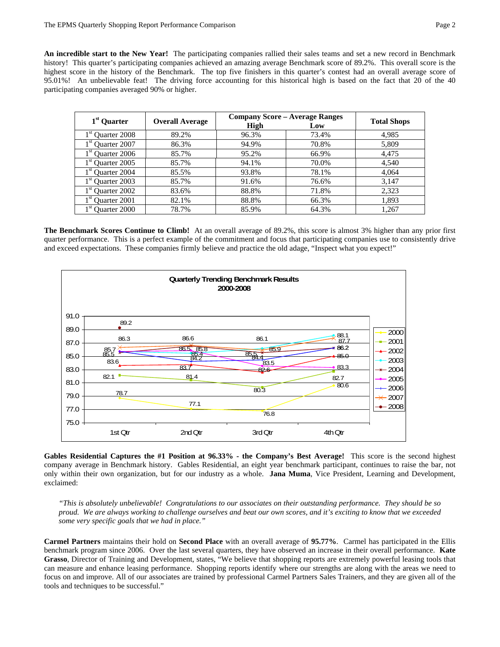**An incredible start to the New Year!** The participating companies rallied their sales teams and set a new record in Benchmark history! This quarter's participating companies achieved an amazing average Benchmark score of 89.2%. This overall score is the highest score in the history of the Benchmark. The top five finishers in this quarter's contest had an overall average score of 95.01%! An unbelievable feat! The driving force accounting for this historical high is based on the fact that 20 of the 40 participating companies averaged 90% or higher.

| $1st$ Quarter      | <b>Overall Average</b> | <b>Company Score - Average Ranges</b> | <b>Total Shops</b> |       |  |
|--------------------|------------------------|---------------------------------------|--------------------|-------|--|
|                    |                        | <b>High</b>                           | Low                |       |  |
| $1st$ Quarter 2008 | 89.2%                  | 96.3%                                 | 73.4%              | 4,985 |  |
| $1st$ Quarter 2007 | 86.3%                  | 94.9%                                 | 70.8%              | 5,809 |  |
| $1st$ Quarter 2006 | 85.7%                  | 95.2%                                 | 66.9%              | 4,475 |  |
| $1st$ Quarter 2005 | 85.7%                  | 94.1%                                 | 70.0%              | 4,540 |  |
| $1st$ Quarter 2004 | 85.5%                  | 93.8%                                 | 78.1%              | 4,064 |  |
| $1st$ Quarter 2003 | 85.7%                  | 91.6%                                 | 76.6%              | 3,147 |  |
| $1st$ Quarter 2002 | 83.6%                  | 88.8%                                 | 71.8%              | 2,323 |  |
| $1st$ Quarter 2001 | 82.1%                  | 88.8%                                 | 66.3%              | 1,893 |  |
| $1st$ Quarter 2000 | 78.7%                  | 85.9%                                 | 64.3%              | 1,267 |  |

**The Benchmark Scores Continue to Climb!** At an overall average of 89.2%, this score is almost 3% higher than any prior first quarter performance.This is a perfect example of the commitment and focus that participating companies use to consistently drive and exceed expectations. These companies firmly believe and practice the old adage, "Inspect what you expect!"



**Gables Residential Captures the #1 Position at 96.33% - the Company's Best Average!** This score is the second highest company average in Benchmark history. Gables Residential, an eight year benchmark participant, continues to raise the bar, not only within their own organization, but for our industry as a whole. **Jana Muma**, Vice President, Learning and Development, exclaimed:

*"This is absolutely unbelievable! Congratulations to our associates on their outstanding performance. They should be so proud. We are always working to challenge ourselves and beat our own scores, and it's exciting to know that we exceeded some very specific goals that we had in place."* 

**Carmel Partners** maintains their hold on **Second Place** with an overall average of **95.77%**. Carmel has participated in the Ellis benchmark program since 2006. Over the last several quarters, they have observed an increase in their overall performance. **Kate Grasso**, Director of Training and Development, states, "We believe that shopping reports are extremely powerful leasing tools that can measure and enhance leasing performance. Shopping reports identify where our strengths are along with the areas we need to focus on and improve. All of our associates are trained by professional Carmel Partners Sales Trainers, and they are given all of the tools and techniques to be successful."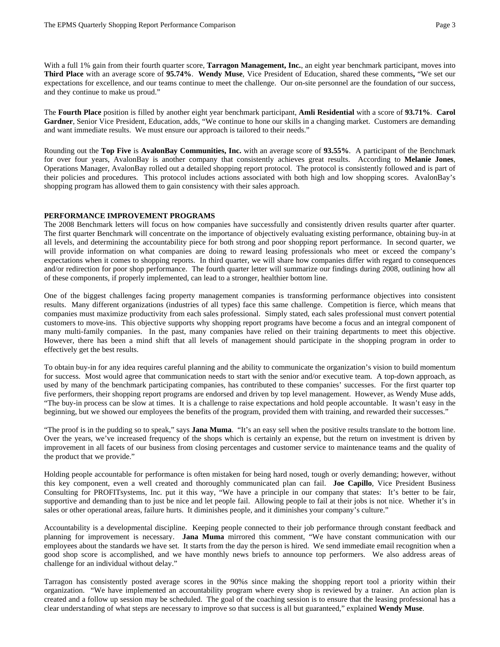With a full 1% gain from their fourth quarter score, **Tarragon Management, Inc.**, an eight year benchmark participant, moves into **Third Place** with an average score of **95.74%**. **Wendy Muse**, Vice President of Education, shared these comments**,** "We set our expectations for excellence, and our teams continue to meet the challenge. Our on-site personnel are the foundation of our success, and they continue to make us proud."

The **Fourth Place** position is filled by another eight year benchmark participant, **Amli Residential** with a score of **93.71%**. **Carol Gardner**, Senior Vice President, Education, adds, "We continue to hone our skills in a changing market. Customers are demanding and want immediate results. We must ensure our approach is tailored to their needs."

Rounding out the **Top Five** is **AvalonBay Communities, Inc.** with an average score of **93.55%**. A participant of the Benchmark for over four years, AvalonBay is another company that consistently achieves great results. According to **Melanie Jones**, Operations Manager, AvalonBay rolled out a detailed shopping report protocol. The protocol is consistently followed and is part of their policies and procedures. This protocol includes actions associated with both high and low shopping scores. AvalonBay's shopping program has allowed them to gain consistency with their sales approach.

## **PERFORMANCE IMPROVEMENT PROGRAMS**

The 2008 Benchmark letters will focus on how companies have successfully and consistently driven results quarter after quarter. The first quarter Benchmark will concentrate on the importance of objectively evaluating existing performance, obtaining buy-in at all levels, and determining the accountability piece for both strong and poor shopping report performance. In second quarter, we will provide information on what companies are doing to reward leasing professionals who meet or exceed the company's expectations when it comes to shopping reports. In third quarter, we will share how companies differ with regard to consequences and/or redirection for poor shop performance. The fourth quarter letter will summarize our findings during 2008, outlining how all of these components, if properly implemented, can lead to a stronger, healthier bottom line.

One of the biggest challenges facing property management companies is transforming performance objectives into consistent results. Many different organizations (industries of all types) face this same challenge. Competition is fierce, which means that companies must maximize productivity from each sales professional. Simply stated, each sales professional must convert potential customers to move-ins. This objective supports why shopping report programs have become a focus and an integral component of many multi-family companies. In the past, many companies have relied on their training departments to meet this objective. However, there has been a mind shift that all levels of management should participate in the shopping program in order to effectively get the best results.

To obtain buy-in for any idea requires careful planning and the ability to communicate the organization's vision to build momentum for success. Most would agree that communication needs to start with the senior and/or executive team. A top-down approach, as used by many of the benchmark participating companies, has contributed to these companies' successes. For the first quarter top five performers, their shopping report programs are endorsed and driven by top level management. However, as Wendy Muse adds, "The buy-in process can be slow at times. It is a challenge to raise expectations and hold people accountable. It wasn't easy in the beginning, but we showed our employees the benefits of the program, provided them with training, and rewarded their successes."

"The proof is in the pudding so to speak," says **Jana Muma**. "It's an easy sell when the positive results translate to the bottom line. Over the years, we've increased frequency of the shops which is certainly an expense, but the return on investment is driven by improvement in all facets of our business from closing percentages and customer service to maintenance teams and the quality of the product that we provide."

Holding people accountable for performance is often mistaken for being hard nosed, tough or overly demanding; however, without this key component, even a well created and thoroughly communicated plan can fail. **Joe Capillo**, Vice President Business Consulting for PROFITsystems, Inc. put it this way, "We have a principle in our company that states: It's better to be fair, supportive and demanding than to just be nice and let people fail. Allowing people to fail at their jobs is not nice. Whether it's in sales or other operational areas, failure hurts. It diminishes people, and it diminishes your company's culture."

Accountability is a developmental discipline. Keeping people connected to their job performance through constant feedback and planning for improvement is necessary. **Jana Muma** mirrored this comment, "We have constant communication with our employees about the standards we have set. It starts from the day the person is hired. We send immediate email recognition when a good shop score is accomplished, and we have monthly news briefs to announce top performers. We also address areas of challenge for an individual without delay."

Tarragon has consistently posted average scores in the 90%s since making the shopping report tool a priority within their organization. "We have implemented an accountability program where every shop is reviewed by a trainer. An action plan is created and a follow up session may be scheduled. The goal of the coaching session is to ensure that the leasing professional has a clear understanding of what steps are necessary to improve so that success is all but guaranteed," explained **Wendy Muse**.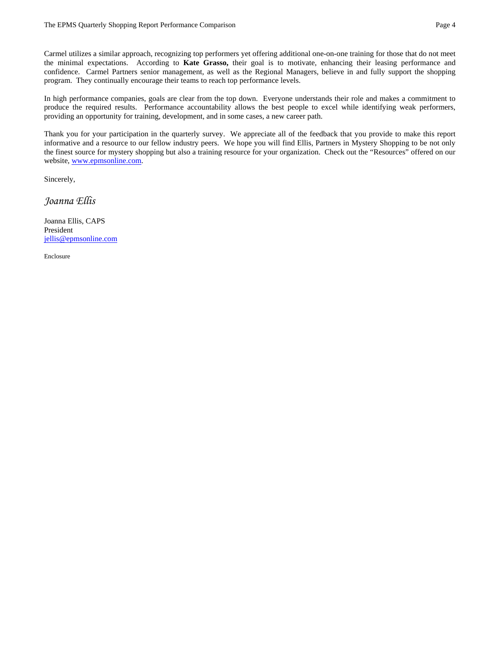Carmel utilizes a similar approach, recognizing top performers yet offering additional one-on-one training for those that do not meet the minimal expectations. According to **Kate Grasso,** their goal is to motivate, enhancing their leasing performance and confidence. Carmel Partners senior management, as well as the Regional Managers, believe in and fully support the shopping program. They continually encourage their teams to reach top performance levels.

In high performance companies, goals are clear from the top down. Everyone understands their role and makes a commitment to produce the required results. Performance accountability allows the best people to excel while identifying weak performers, providing an opportunity for training, development, and in some cases, a new career path.

Thank you for your participation in the quarterly survey. We appreciate all of the feedback that you provide to make this report informative and a resource to our fellow industry peers. We hope you will find Ellis, Partners in Mystery Shopping to be not only the finest source for mystery shopping but also a training resource for your organization. Check out the "Resources" offered on our website, www.epmsonline.com.

Sincerely,

*Joanna Ellis* 

Joanna Ellis, CAPS President jellis@epmsonline.com

Enclosure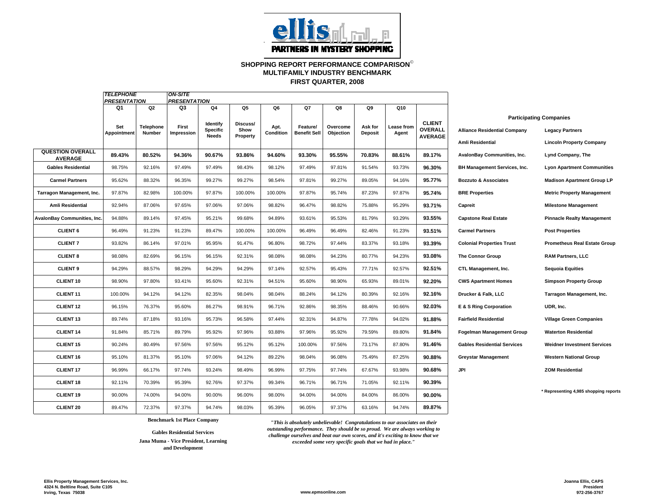

## **SHOPPING REPORT PERFORMANCE COMPARISON**© **FIRST QUARTER, 2008 MULTIFAMILY INDUSTRY BENCHMARK**

|                                           | <b>TELEPHONE</b><br><b>PRESENTATION</b> |                     | <b>ON-SITE</b><br><b>PRESENTATION</b> |                             |                  |                   |                                 |                       |                           |                     |                          |                                     |                                                          |
|-------------------------------------------|-----------------------------------------|---------------------|---------------------------------------|-----------------------------|------------------|-------------------|---------------------------------|-----------------------|---------------------------|---------------------|--------------------------|-------------------------------------|----------------------------------------------------------|
|                                           | Q1                                      | Q <sub>2</sub>      | Q3                                    | Q4                          | Q5               | Q6                | Q7                              | Q8                    | Q9                        | Q10                 |                          |                                     |                                                          |
|                                           | Set<br>Appointment                      | Telephone<br>Number | First<br>Impression                   | ldentify<br><b>Specific</b> | Discuss/<br>Show | Apt.<br>Condition | Feature/<br><b>Benefit Sell</b> | Overcome<br>Objection | Ask for<br><b>Deposit</b> | Lease from<br>Agent | <b>CLIENT</b><br>OVERALL | <b>Alliance Residential Company</b> | <b>Participating Companies</b><br><b>Legacy Partners</b> |
|                                           |                                         |                     |                                       | <b>Needs</b>                | Property         |                   |                                 |                       |                           |                     | <b>AVERAGE</b>           | <b>Amli Residential</b>             | <b>Lincoln Property Company</b>                          |
| <b>QUESTION OVERALL</b><br><b>AVERAGE</b> | 89.43%                                  | 80.52%              | 94.36%                                | 90.67%                      | 93.86%           | 94.60%            | 93.30%                          | 95.55%                | 70.83%                    | 88.61%              | 89.17%                   | AvalonBay Communities, Inc.         | Lynd Company, The                                        |
| <b>Gables Residential</b>                 | 98.75%                                  | 92.16%              | 97.49%                                | 97.49%                      | 98.43%           | 98.12%            | 97.49%                          | 97.81%                | 91.54%                    | 93.73%              | 96.30%                   | BH Management Services, Inc.        | <b>Lyon Apartment Communities</b>                        |
| <b>Carmel Partners</b>                    | 95.62%                                  | 88.32%              | 96.35%                                | 99.27%                      | 99.27%           | 98.54%            | 97.81%                          | 99.27%                | 89.05%                    | 94.16%              | 95.77%                   | <b>Bozzuto &amp; Associates</b>     | <b>Madison Apartment Group LP</b>                        |
| Tarragon Management, Inc.                 | 97.87%                                  | 82.98%              | 100.00%                               | 97.87%                      | 100.00%          | 100.00%           | 97.87%                          | 95.74%                | 87.23%                    | 97.87%              | 95.74%                   | <b>BRE Properties</b>               | <b>Metric Property Management</b>                        |
| Amli Residential                          | 92.94%                                  | 87.06%              | 97.65%                                | 97.06%                      | 97.06%           | 98.82%            | 96.47%                          | 98.82%                | 75.88%                    | 95.29%              | 93.71%                   | Capreit                             | <b>Milestone Management</b>                              |
| AvalonBay Communities, Inc.               | 94.88%                                  | 89.14%              | 97.45%                                | 95.21%                      | 99.68%           | 94.89%            | 93.61%                          | 95.53%                | 81.79%                    | 93.29%              | 93.55%                   | <b>Capstone Real Estate</b>         | <b>Pinnacle Realty Management</b>                        |
| <b>CLIENT 6</b>                           | 96.49%                                  | 91.23%              | 91.23%                                | 89.47%                      | 100.00%          | 100.00%           | 96.49%                          | 96.49%                | 82.46%                    | 91.23%              | 93.51%                   | <b>Carmel Partners</b>              | <b>Post Properties</b>                                   |
| <b>CLIENT 7</b>                           | 93.82%                                  | 86.14%              | 97.01%                                | 95.95%                      | 91.47%           | 96.80%            | 98.72%                          | 97.44%                | 83.37%                    | 93.18%              | 93.39%                   | <b>Colonial Properties Trust</b>    | <b>Prometheus Real Estate Group</b>                      |
| <b>CLIENT 8</b>                           | 98.08%                                  | 82.69%              | 96.15%                                | 96.15%                      | 92.31%           | 98.08%            | 98.08%                          | 94.23%                | 80.77%                    | 94.23%              | 93.08%                   | <b>The Connor Group</b>             | <b>RAM Partners, LLC</b>                                 |
| <b>CLIENT 9</b>                           | 94.29%                                  | 88.57%              | 98.29%                                | 94.29%                      | 94.29%           | 97.14%            | 92.57%                          | 95.43%                | 77.71%                    | 92.57%              | 92.51%                   | CTL Management, Inc.                | <b>Sequoia Equities</b>                                  |
| CLIENT <sub>10</sub>                      | 98.90%                                  | 97.80%              | 93.41%                                | 95.60%                      | 92.31%           | 94.51%            | 95.60%                          | 98.90%                | 65.93%                    | 89.01%              | 92.20%                   | <b>CWS Apartment Homes</b>          | <b>Simpson Property Group</b>                            |
| <b>CLIENT 11</b>                          | 100.00%                                 | 94.12%              | 94.12%                                | 82.35%                      | 98.04%           | 98.04%            | 88.24%                          | 94.12%                | 80.39%                    | 92.16%              | 92.16%                   | Drucker & Falk, LLC                 | Tarragon Management, Inc.                                |
| <b>CLIENT 12</b>                          | 96.15%                                  | 76.37%              | 95.60%                                | 86.27%                      | 98.91%           | 96.71%            | 92.86%                          | 98.35%                | 88.46%                    | 90.66%              | 92.03%                   | E & S Ring Corporation              | UDR, Inc.                                                |
| <b>CLIENT 13</b>                          | 89.74%                                  | 87.18%              | 93.16%                                | 95.73%                      | 96.58%           | 97.44%            | 92.31%                          | 94.87%                | 77.78%                    | 94.02%              | 91.88%                   | <b>Fairfield Residential</b>        | <b>Village Green Companies</b>                           |
| <b>CLIENT 14</b>                          | 91.84%                                  | 85.71%              | 89.79%                                | 95.92%                      | 97.96%           | 93.88%            | 97.96%                          | 95.92%                | 79.59%                    | 89.80%              | 91.84%                   | <b>Fogelman Management Group</b>    | <b>Waterton Residential</b>                              |
| <b>CLIENT 15</b>                          | 90.24%                                  | 80.49%              | 97.56%                                | 97.56%                      | 95.12%           | 95.12%            | 100.00%                         | 97.56%                | 73.17%                    | 87.80%              | 91.46%                   | <b>Gables Residential Services</b>  | <b>Weidner Investment Services</b>                       |
| <b>CLIENT 16</b>                          | 95.10%                                  | 81.37%              | 95.10%                                | 97.06%                      | 94.12%           | 89.22%            | 98.04%                          | 96.08%                | 75.49%                    | 87.25%              | 90.88%                   | <b>Greystar Management</b>          | <b>Western National Group</b>                            |
| <b>CLIENT 17</b>                          | 96.99%                                  | 66.17%              | 97.74%                                | 93.24%                      | 98.49%           | 96.99%            | 97.75%                          | 97.74%                | 67.67%                    | 93.98%              | 90.68%                   | <b>JPI</b>                          | <b>ZOM Residential</b>                                   |
| <b>CLIENT 18</b>                          | 92.11%                                  | 70.39%              | 95.39%                                | 92.76%                      | 97.37%           | 99.34%            | 96.71%                          | 96.71%                | 71.05%                    | 92.11%              | 90.39%                   |                                     |                                                          |
| <b>CLIENT 19</b>                          | 90.00%                                  | 74.00%              | 94.00%                                | 90.00%                      | 96.00%           | 98.00%            | 94.00%                          | 94.00%                | 84.00%                    | 86.00%              | 90.00%                   |                                     | Representing 4,985 shopping reports                      |
| <b>CLIENT 20</b>                          | 89.47%                                  | 72.37%              | 97.37%                                | 94.74%                      | 98.03%           | 95.39%            | 96.05%                          | 97.37%                | 63.16%                    | 94.74%              | 89.87%                   |                                     |                                                          |

**Gables Residential Services**

**Jana Muma - Vice President, Learning and Development**

**Benchmark 1st Place Company** *"This is absolutely unbelievable! Congratulations to our associates on their outstanding performance. They should be so proud. We are always working to challenge ourselves and beat our own scores, and it's exciting to know that we exceeded some very specific goals that we had in place."*